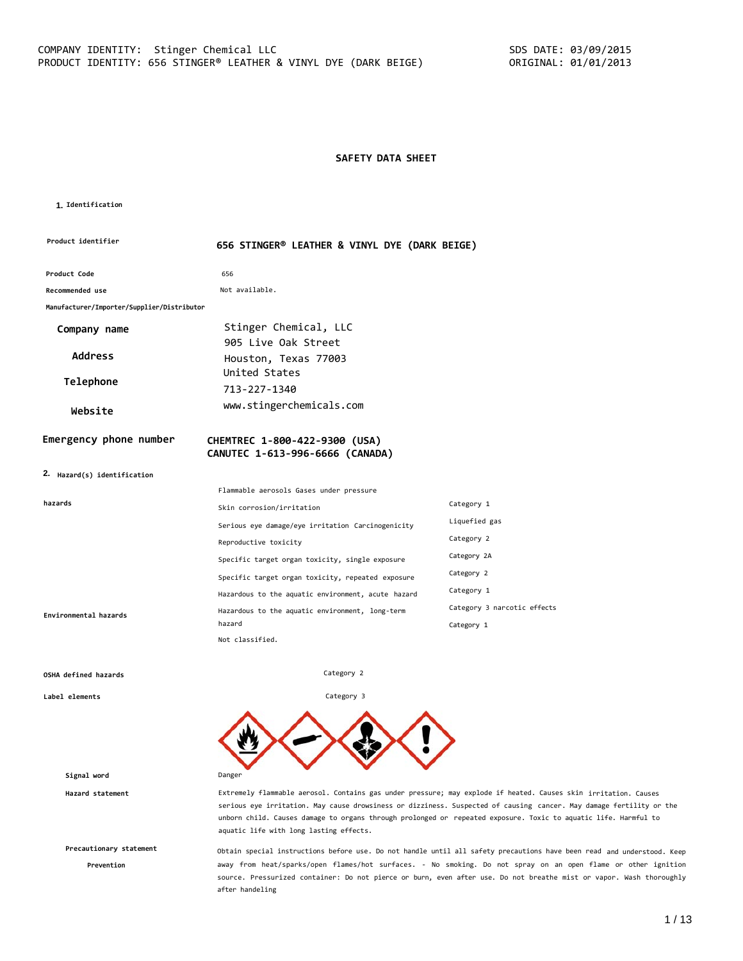# **SAFETY DATA SHEET**

#### **1. Identification**

| <b>Product identifier</b>                  | 656 STINGER® LEATHER & VINYL DYE (DARK BEIGE)      |                             |
|--------------------------------------------|----------------------------------------------------|-----------------------------|
| Product Code                               | 656                                                |                             |
| Recommended use                            | Not available.                                     |                             |
| Manufacturer/Importer/Supplier/Distributor |                                                    |                             |
| Company name                               | Stinger Chemical, LLC                              |                             |
|                                            | 905 Live Oak Street                                |                             |
| <b>Address</b>                             | Houston, Texas 77003                               |                             |
| Telephone                                  | United States                                      |                             |
|                                            | 713-227-1340                                       |                             |
| Website                                    | www.stingerchemicals.com                           |                             |
| Emergency phone number                     | CHEMTREC 1-800-422-9300 (USA)                      |                             |
|                                            | CANUTEC 1-613-996-6666 (CANADA)                    |                             |
| 2. Hazard(s) identification                |                                                    |                             |
|                                            | Flammable aerosols Gases under pressure            |                             |
| hazards                                    | Skin corrosion/irritation                          | Category 1                  |
|                                            | Serious eye damage/eye irritation Carcinogenicity  | Liquefied gas               |
|                                            | Reproductive toxicity                              | Category 2                  |
|                                            | Specific target organ toxicity, single exposure    | Category 2A                 |
|                                            | Specific target organ toxicity, repeated exposure  | Category 2                  |
|                                            | Hazardous to the aquatic environment, acute hazard | Category 1                  |
| Environmental hazards                      | Hazardous to the aquatic environment, long-term    | Category 3 narcotic effects |
|                                            | hazard<br>Not classified.                          | Category 1                  |

Category 2

Category 3

#### **OSHA defined hazards**

**Label elements**

**Signal word** Danger

**Precautionary statement**

**Prevention**

**Hazard statement** Extremely flammable aerosol. Contains gas under pressure; may explode if heated. Causes skin irritation. Causes serious eye irritation. May cause drowsiness or dizziness. Suspected of causing cancer. May damage fertility or the unborn child. Causes damage to organs through prolonged or repeated exposure. Toxic to aquatic life. Harmful to aquatic life with long lasting effects.

> Obtain special instructions before use. Do not handle until all safety precautions have been read and understood. Keep away from heat/sparks/open flames/hot surfaces. - No smoking. Do not spray on an open flame or other ignition source. Pressurized container: Do not pierce or burn, even after use. Do not breathe mist or vapor. Wash thoroughly after handeling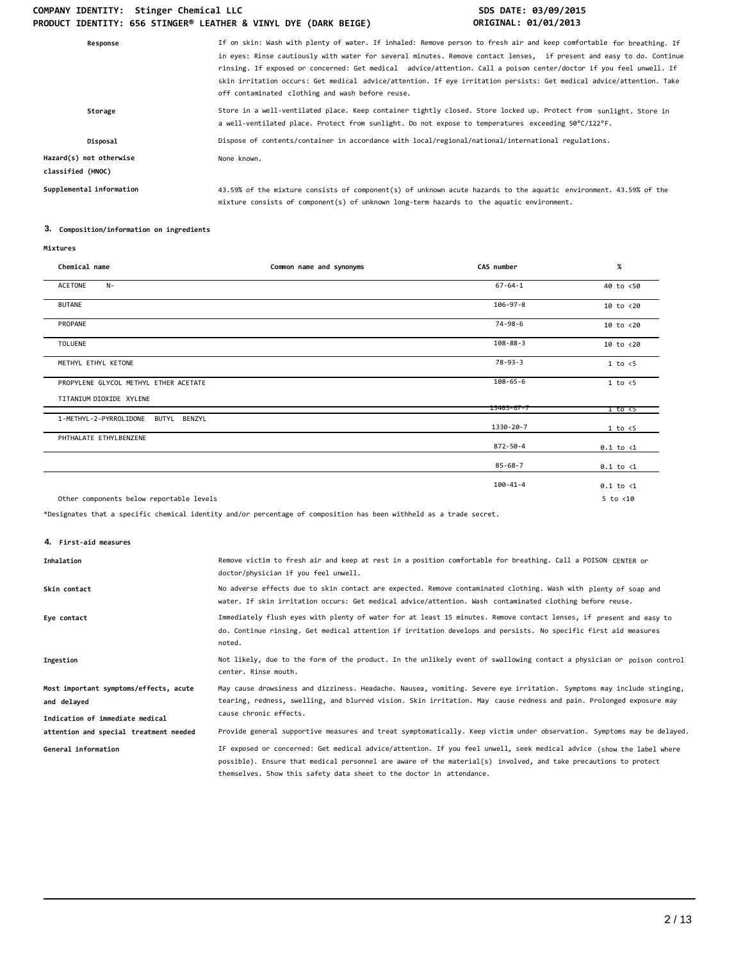| Response                                     | If on skin: Wash with plenty of water. If inhaled: Remove person to fresh air and keep comfortable for breathing. If<br>in eyes: Rinse cautiously with water for several minutes. Remove contact lenses, if present and easy to do. Continue<br>rinsing. If exposed or concerned: Get medical advice/attention. Call a poison center/doctor if you feel unwell. If<br>skin irritation occurs: Get medical advice/attention. If eye irritation persists: Get medical advice/attention. Take<br>off contaminated clothing and wash before reuse. |
|----------------------------------------------|------------------------------------------------------------------------------------------------------------------------------------------------------------------------------------------------------------------------------------------------------------------------------------------------------------------------------------------------------------------------------------------------------------------------------------------------------------------------------------------------------------------------------------------------|
| Storage                                      | Store in a well-ventilated place. Keep container tightly closed. Store locked up. Protect from sunlight. Store in<br>a well-ventilated place. Protect from sunlight. Do not expose to temperatures exceeding 50°C/122°F.                                                                                                                                                                                                                                                                                                                       |
| Disposal                                     | Dispose of contents/container in accordance with local/regional/national/international regulations.                                                                                                                                                                                                                                                                                                                                                                                                                                            |
| Hazard(s) not otherwise<br>classified (HNOC) | None known.                                                                                                                                                                                                                                                                                                                                                                                                                                                                                                                                    |
| Supplemental information                     | 43.59% of the mixture consists of component(s) of unknown acute hazards to the aquatic environment. 43.59% of the<br>mixture consists of component(s) of unknown long-term hazards to the aquatic environment.                                                                                                                                                                                                                                                                                                                                 |

# **3. Composition/information on ingredients**

| Chemical name                             | Common name and synonyms | CAS number       | $\%$                 |
|-------------------------------------------|--------------------------|------------------|----------------------|
| ACETONE<br>$N-$                           |                          | $67 - 64 - 1$    | 40 to <50            |
| <b>BUTANE</b>                             |                          | $106 - 97 - 8$   | $10$ to $< 20$       |
| PROPANE                                   |                          | 74-98-6          | 10 to <20            |
| <b>TOLUENE</b>                            |                          | $108 - 88 - 3$   | 10 to <20            |
| METHYL ETHYL KETONE                       |                          | $78 - 93 - 3$    | 1 to < 5             |
| PROPYLENE GLYCOL METHYL ETHER ACETATE     |                          | $108 - 65 - 6$   | $1$ to $\leq 5$      |
| TITANIUM DIOXIDE XYLENE                   |                          | $13463 - 67 - 7$ | 1 to <5              |
| 1-METHYL-2-PYRROLIDONE<br>BUTYL<br>BENZYL |                          | 1330-20-7        | 1 to < 5             |
| PHTHALATE ETHYLBENZENE                    |                          | 872-50-4         | $0.1$ to $\langle 1$ |
|                                           |                          | $85 - 68 - 7$    | $0.1$ to $\langle 1$ |
|                                           |                          | 100-41-4         | $0.1$ to $\langle 1$ |
| Other components below reportable levels  |                          |                  | $5$ to $<$ 10        |

\*Designates that a specific chemical identity and/or percentage of composition has been withheld as a trade secret.

**4. First-aid measures**

| Inhalation                             | Remove victim to fresh air and keep at rest in a position comfortable for breathing. Call a POISON CENTER or<br>doctor/physician if you feel unwell.                                                                                                                                                            |
|----------------------------------------|-----------------------------------------------------------------------------------------------------------------------------------------------------------------------------------------------------------------------------------------------------------------------------------------------------------------|
| Skin contact                           | No adverse effects due to skin contact are expected. Remove contaminated clothing. Wash with plenty of soap and<br>water. If skin irritation occurs: Get medical advice/attention. Wash contaminated clothing before reuse.                                                                                     |
| Eye contact                            | Immediately flush eyes with plenty of water for at least 15 minutes. Remove contact lenses, if present and easy to<br>do. Continue rinsing. Get medical attention if irritation develops and persists. No specific first aid measures<br>noted.                                                                 |
| Ingestion                              | Not likely, due to the form of the product. In the unlikely event of swallowing contact a physician or poison control<br>center. Rinse mouth.                                                                                                                                                                   |
| Most important symptoms/effects, acute | May cause drowsiness and dizziness. Headache. Nausea, vomiting. Severe eye irritation. Symptoms may include stinging,                                                                                                                                                                                           |
| and delayed                            | tearing, redness, swelling, and blurred vision. Skin irritation. May cause redness and pain. Prolonged exposure may                                                                                                                                                                                             |
| Indication of immediate medical        | cause chronic effects.                                                                                                                                                                                                                                                                                          |
| attention and special treatment needed | Provide general supportive measures and treat symptomatically. Keep victim under observation. Symptoms may be delayed.                                                                                                                                                                                          |
| General information                    | IF exposed or concerned: Get medical advice/attention. If you feel unwell, seek medical advice (show the label where<br>possible). Ensure that medical personnel are aware of the material(s) involved, and take precautions to protect<br>themselves. Show this safety data sheet to the doctor in attendance. |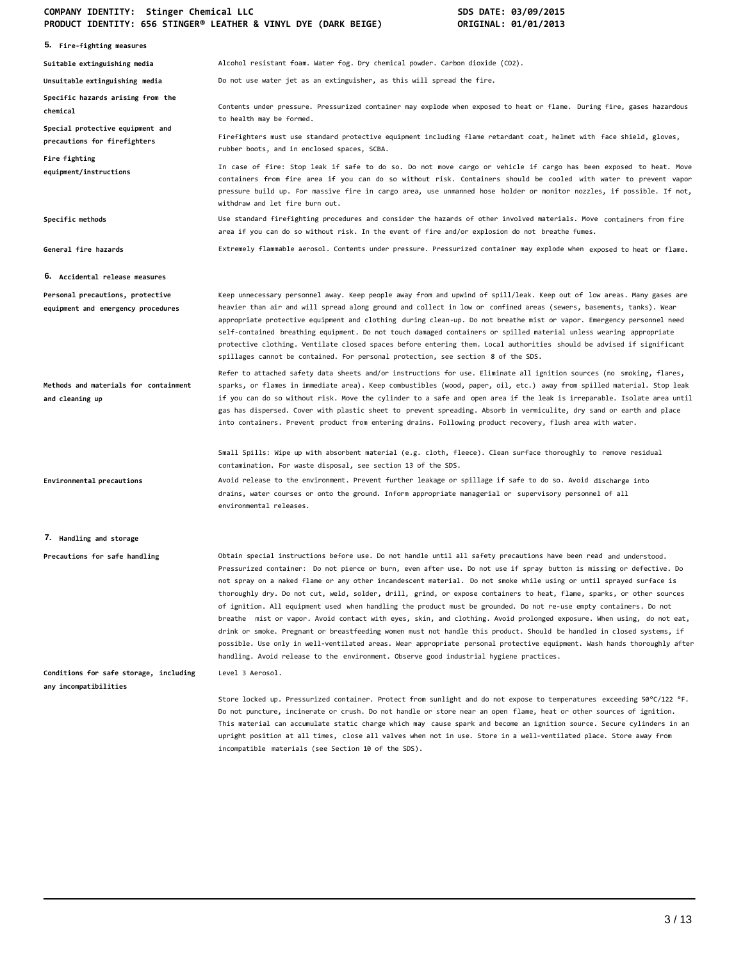| 5. Fire-fighting measures                                              |                                                                                                                                                                                                                                                                                                                                                                                                                                                                                                                                                                                                                                                                                                                                                                                                                                                                                                                                                                                                                                                                                         |
|------------------------------------------------------------------------|-----------------------------------------------------------------------------------------------------------------------------------------------------------------------------------------------------------------------------------------------------------------------------------------------------------------------------------------------------------------------------------------------------------------------------------------------------------------------------------------------------------------------------------------------------------------------------------------------------------------------------------------------------------------------------------------------------------------------------------------------------------------------------------------------------------------------------------------------------------------------------------------------------------------------------------------------------------------------------------------------------------------------------------------------------------------------------------------|
| Suitable extinguishing media                                           | Alcohol resistant foam. Water fog. Dry chemical powder. Carbon dioxide (CO2).                                                                                                                                                                                                                                                                                                                                                                                                                                                                                                                                                                                                                                                                                                                                                                                                                                                                                                                                                                                                           |
| Unsuitable extinguishing media                                         | Do not use water jet as an extinguisher, as this will spread the fire.                                                                                                                                                                                                                                                                                                                                                                                                                                                                                                                                                                                                                                                                                                                                                                                                                                                                                                                                                                                                                  |
| Specific hazards arising from the<br>chemical                          | Contents under pressure. Pressurized container may explode when exposed to heat or flame. During fire, gases hazardous<br>to health may be formed.                                                                                                                                                                                                                                                                                                                                                                                                                                                                                                                                                                                                                                                                                                                                                                                                                                                                                                                                      |
| Special protective equipment and<br>precautions for firefighters       | Firefighters must use standard protective equipment including flame retardant coat, helmet with face shield, gloves,<br>rubber boots, and in enclosed spaces, SCBA.                                                                                                                                                                                                                                                                                                                                                                                                                                                                                                                                                                                                                                                                                                                                                                                                                                                                                                                     |
| Fire fighting<br>equipment/instructions                                | In case of fire: Stop leak if safe to do so. Do not move cargo or vehicle if cargo has been exposed to heat. Move<br>containers from fire area if you can do so without risk. Containers should be cooled with water to prevent vapor<br>pressure build up. For massive fire in cargo area, use unmanned hose holder or monitor nozzles, if possible. If not,<br>withdraw and let fire burn out.                                                                                                                                                                                                                                                                                                                                                                                                                                                                                                                                                                                                                                                                                        |
| Specific methods                                                       | Use standard firefighting procedures and consider the hazards of other involved materials. Move containers from fire<br>area if you can do so without risk. In the event of fire and/or explosion do not breathe fumes.                                                                                                                                                                                                                                                                                                                                                                                                                                                                                                                                                                                                                                                                                                                                                                                                                                                                 |
| General fire hazards                                                   | Extremely flammable aerosol. Contents under pressure. Pressurized container may explode when exposed to heat or flame.                                                                                                                                                                                                                                                                                                                                                                                                                                                                                                                                                                                                                                                                                                                                                                                                                                                                                                                                                                  |
| 6. Accidental release measures                                         |                                                                                                                                                                                                                                                                                                                                                                                                                                                                                                                                                                                                                                                                                                                                                                                                                                                                                                                                                                                                                                                                                         |
| Personal precautions, protective<br>equipment and emergency procedures | Keep unnecessary personnel away. Keep people away from and upwind of spill/leak. Keep out of low areas. Many gases are<br>heavier than air and will spread along ground and collect in low or confined areas (sewers, basements, tanks). Wear<br>appropriate protective equipment and clothing during clean-up. Do not breathe mist or vapor. Emergency personnel need<br>self-contained breathing equipment. Do not touch damaged containers or spilled material unless wearing appropriate<br>protective clothing. Ventilate closed spaces before entering them. Local authorities should be advised if significant<br>spillages cannot be contained. For personal protection, see section 8 of the SDS.                                                                                                                                                                                                                                                                                                                                                                              |
| Methods and materials for containment<br>and cleaning up               | Refer to attached safety data sheets and/or instructions for use. Eliminate all ignition sources (no smoking, flares,<br>sparks, or flames in immediate area). Keep combustibles (wood, paper, oil, etc.) away from spilled material. Stop leak<br>if you can do so without risk. Move the cylinder to a safe and open area if the leak is irreparable. Isolate area until<br>gas has dispersed. Cover with plastic sheet to prevent spreading. Absorb in vermiculite, dry sand or earth and place<br>into containers. Prevent product from entering drains. Following product recovery, flush area with water.                                                                                                                                                                                                                                                                                                                                                                                                                                                                         |
|                                                                        | Small Spills: Wipe up with absorbent material (e.g. cloth, fleece). Clean surface thoroughly to remove residual<br>contamination. For waste disposal, see section 13 of the SDS.                                                                                                                                                                                                                                                                                                                                                                                                                                                                                                                                                                                                                                                                                                                                                                                                                                                                                                        |
| Environmental precautions                                              | Avoid release to the environment. Prevent further leakage or spillage if safe to do so. Avoid discharge into<br>drains, water courses or onto the ground. Inform appropriate managerial or supervisory personnel of all<br>environmental releases.                                                                                                                                                                                                                                                                                                                                                                                                                                                                                                                                                                                                                                                                                                                                                                                                                                      |
| 7. Handling and storage                                                |                                                                                                                                                                                                                                                                                                                                                                                                                                                                                                                                                                                                                                                                                                                                                                                                                                                                                                                                                                                                                                                                                         |
| Precautions for safe handling                                          | Obtain special instructions before use. Do not handle until all safety precautions have been read and understood.<br>Pressurized container: Do not pierce or burn, even after use. Do not use if spray button is missing or defective. Do<br>not spray on a naked flame or any other incandescent material. Do not smoke while using or until sprayed surface is<br>thoroughly dry. Do not cut, weld, solder, drill, grind, or expose containers to heat, flame, sparks, or other sources<br>of ignition. All equipment used when handling the product must be grounded. Do not re-use empty containers. Do not<br>breathe mist or vapor. Avoid contact with eyes, skin, and clothing. Avoid prolonged exposure. When using, do not eat,<br>drink or smoke. Pregnant or breastfeeding women must not handle this product. Should be handled in closed systems, if<br>possible. Use only in well-ventilated areas. Wear appropriate personal protective equipment. Wash hands thoroughly after<br>handling. Avoid release to the environment. Observe good industrial hygiene practices. |
| Conditions for safe storage, including<br>any incompatibilities        | Level 3 Aerosol.                                                                                                                                                                                                                                                                                                                                                                                                                                                                                                                                                                                                                                                                                                                                                                                                                                                                                                                                                                                                                                                                        |
|                                                                        | Store locked up. Pressurized container. Protect from sunlight and do not expose to temperatures exceeding 50°C/122 °F.<br>Do not puncture, incinerate or crush. Do not handle or store near an open flame, heat or other sources of ignition.<br>This material can accumulate static charge which may cause spark and become an ignition source. Secure cylinders in an<br>upright position at all times, close all valves when not in use. Store in a well-ventilated place. Store away from<br>incompatible materials (see Section 10 of the SDS).                                                                                                                                                                                                                                                                                                                                                                                                                                                                                                                                    |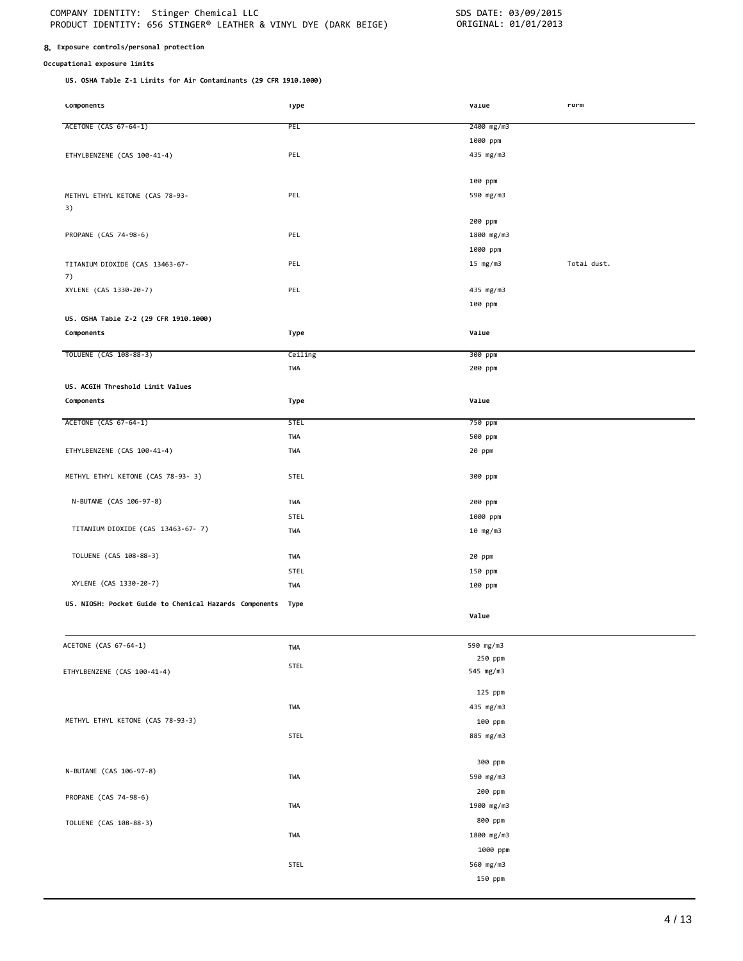# **8. Exposure controls/personal protection**

# **Occupational exposure limits**

**US. OSHA Table Z-1 Limits for Air Contaminants (29 CFR 1910.1000)**

| <b>LOMPONENTS</b>                                      | <b>Type</b> | varue                | rorm        |
|--------------------------------------------------------|-------------|----------------------|-------------|
| ACETONE (CAS 67-64-1)                                  | PEL         | 2400 mg/m3           |             |
|                                                        |             | 1000 ppm             |             |
|                                                        |             |                      |             |
| ETHYLBENZENE (CAS 100-41-4)                            | PEL         | 435 mg/m3            |             |
|                                                        |             |                      |             |
|                                                        |             | 100 ppm              |             |
| METHYL ETHYL KETONE (CAS 78-93-                        | PEL         | 590 mg/m3            |             |
| 3)                                                     |             |                      |             |
|                                                        |             | 200 ppm              |             |
| PROPANE (CAS 74-98-6)                                  | PEL         | 1800 mg/m3           |             |
|                                                        |             | 1000 ppm             |             |
| TITANIUM DIOXIDE (CAS 13463-67-                        | PEL         | 15 mg/m3             | Total dust. |
| 7)                                                     |             |                      |             |
| XYLENE (CAS 1330-20-7)                                 | PEL         | 435 mg/m3            |             |
|                                                        |             | 100 ppm              |             |
| US. OSHA Table Z-2 (29 CFR 1910.1000)                  |             |                      |             |
| Components                                             | Type        | Value                |             |
|                                                        |             |                      |             |
| TOLUENE (CAS 108-88-3)                                 | Ceiling     | 300 ppm              |             |
|                                                        | TWA         | 200 ppm              |             |
| US. ACGIH Threshold Limit Values                       |             |                      |             |
| Components                                             | Type        | Value                |             |
|                                                        |             |                      |             |
| ACETONE (CAS 67-64-1)                                  | <b>STEL</b> | 750 ppm              |             |
|                                                        | TWA         | 500 ppm              |             |
| ETHYLBENZENE (CAS 100-41-4)                            | TWA         | 20 ppm               |             |
|                                                        |             |                      |             |
| METHYL ETHYL KETONE (CAS 78-93- 3)                     | STEL        | 300 ppm              |             |
|                                                        |             |                      |             |
| N-BUTANE (CAS 106-97-8)                                | TWA         | 200 ppm              |             |
|                                                        | STEL        | 1000 ppm             |             |
| TITANIUM DIOXIDE (CAS 13463-67-7)                      | TWA         | 10 mg/m3             |             |
|                                                        |             |                      |             |
| TOLUENE (CAS 108-88-3)                                 | TWA         | 20 ppm               |             |
|                                                        | STEL        | 150 ppm              |             |
| XYLENE (CAS 1330-20-7)                                 | TWA         | 100 ppm              |             |
| US. NIOSH: Pocket Guide to Chemical Hazards Components | Type        |                      |             |
|                                                        |             | Value                |             |
|                                                        |             |                      |             |
|                                                        |             |                      |             |
| ACETONE (CAS 67-64-1)                                  | TWA         | 590 mg/m3            |             |
|                                                        | STEL        | 250 ppm<br>545 mg/m3 |             |
| ETHYLBENZENE (CAS 100-41-4)                            |             |                      |             |
|                                                        |             | 125 ppm              |             |
|                                                        | TWA         | 435 mg/m3            |             |
| METHYL ETHYL KETONE (CAS 78-93-3)                      |             | 100 ppm              |             |
|                                                        | STEL        | 885 mg/m3            |             |
|                                                        |             |                      |             |
|                                                        |             | 300 ppm              |             |
| N-BUTANE (CAS 106-97-8)                                |             |                      |             |
|                                                        | TWA         | 590 mg/m3            |             |
| PROPANE (CAS 74-98-6)                                  |             | 200 ppm              |             |
|                                                        | TWA         | 1900 mg/m3           |             |
| TOLUENE (CAS 108-88-3)                                 |             | 800 ppm              |             |
|                                                        | TWA         | 1800 mg/m3           |             |
|                                                        |             | 1000 ppm             |             |
|                                                        | STEL        | 560 mg/m3            |             |
|                                                        |             | 150 ppm              |             |
|                                                        |             |                      |             |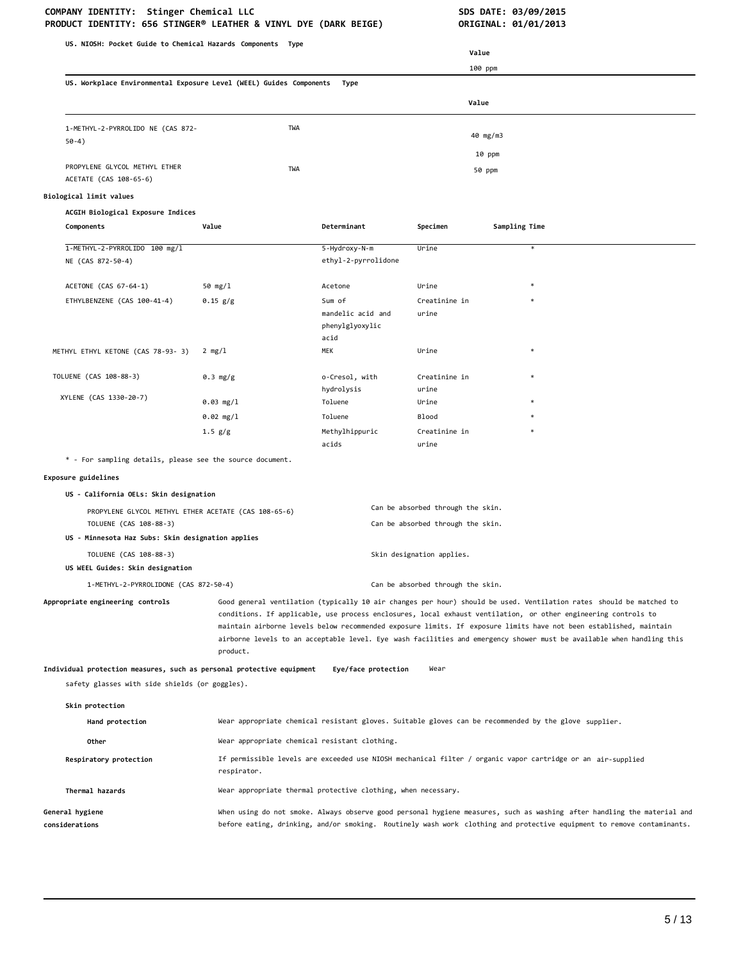| US. NIOSH: Pocket Guide to Chemical Hazards Components Type                    |                                               |                                                               |                                                                        |                                                                                                                                                                                                                                                                                                                                                                                                                                                                                      |  |
|--------------------------------------------------------------------------------|-----------------------------------------------|---------------------------------------------------------------|------------------------------------------------------------------------|--------------------------------------------------------------------------------------------------------------------------------------------------------------------------------------------------------------------------------------------------------------------------------------------------------------------------------------------------------------------------------------------------------------------------------------------------------------------------------------|--|
|                                                                                |                                               |                                                               | Value                                                                  |                                                                                                                                                                                                                                                                                                                                                                                                                                                                                      |  |
| US. Workplace Environmental Exposure Level (WEEL) Guides Components            |                                               | Type                                                          | 100 ppm                                                                |                                                                                                                                                                                                                                                                                                                                                                                                                                                                                      |  |
|                                                                                | Value                                         |                                                               |                                                                        |                                                                                                                                                                                                                                                                                                                                                                                                                                                                                      |  |
|                                                                                |                                               |                                                               |                                                                        |                                                                                                                                                                                                                                                                                                                                                                                                                                                                                      |  |
| 1-METHYL-2-PYRROLIDO NE (CAS 872-<br>$50-4)$                                   | TWA                                           |                                                               |                                                                        | 40 mg/m3                                                                                                                                                                                                                                                                                                                                                                                                                                                                             |  |
|                                                                                |                                               |                                                               |                                                                        | 10 ppm                                                                                                                                                                                                                                                                                                                                                                                                                                                                               |  |
| PROPYLENE GLYCOL METHYL ETHER<br>ACETATE (CAS 108-65-6)                        | TWA                                           |                                                               |                                                                        | 50 ppm                                                                                                                                                                                                                                                                                                                                                                                                                                                                               |  |
| Biological limit values                                                        |                                               |                                                               |                                                                        |                                                                                                                                                                                                                                                                                                                                                                                                                                                                                      |  |
| ACGIH Biological Exposure Indices                                              |                                               |                                                               |                                                                        |                                                                                                                                                                                                                                                                                                                                                                                                                                                                                      |  |
| Components                                                                     | Value                                         | Determinant                                                   | Specimen                                                               | Sampling Time                                                                                                                                                                                                                                                                                                                                                                                                                                                                        |  |
| 1-METHYL-2-PYRROLIDO 100 mg/l<br>NE (CAS 872-50-4)                             |                                               | 5-Hydroxy-N-m<br>ethyl-2-pyrrolidone                          | Urine                                                                  | $\ast$                                                                                                                                                                                                                                                                                                                                                                                                                                                                               |  |
| ACETONE (CAS 67-64-1)                                                          | 50 mg/1                                       | Acetone                                                       | Urine                                                                  |                                                                                                                                                                                                                                                                                                                                                                                                                                                                                      |  |
| ETHYLBENZENE (CAS 100-41-4)                                                    | 0.15 g/g                                      | Sum of                                                        | Creatinine in                                                          |                                                                                                                                                                                                                                                                                                                                                                                                                                                                                      |  |
|                                                                                |                                               | mandelic acid and<br>phenylglyoxylic<br>acid                  | urine                                                                  |                                                                                                                                                                                                                                                                                                                                                                                                                                                                                      |  |
| METHYL ETHYL KETONE (CAS 78-93- 3)                                             | 2 mg/l                                        | MEK                                                           | Urine                                                                  | $\ast$                                                                                                                                                                                                                                                                                                                                                                                                                                                                               |  |
| TOLUENE (CAS 108-88-3)                                                         | 0.3 mg/g                                      | o-Cresol, with                                                | Creatinine in                                                          |                                                                                                                                                                                                                                                                                                                                                                                                                                                                                      |  |
| XYLENE (CAS 1330-20-7)                                                         | 0.03 mg/1                                     | hydrolysis<br>Toluene                                         | urine<br>Urine                                                         |                                                                                                                                                                                                                                                                                                                                                                                                                                                                                      |  |
|                                                                                | 0.02 mg/l                                     | Toluene                                                       | <b>Blood</b>                                                           |                                                                                                                                                                                                                                                                                                                                                                                                                                                                                      |  |
|                                                                                | 1.5 g/g                                       | Methylhippuric                                                | Creatinine in                                                          |                                                                                                                                                                                                                                                                                                                                                                                                                                                                                      |  |
|                                                                                |                                               | acids                                                         | urine                                                                  |                                                                                                                                                                                                                                                                                                                                                                                                                                                                                      |  |
| * - For sampling details, please see the source document.                      |                                               |                                                               |                                                                        |                                                                                                                                                                                                                                                                                                                                                                                                                                                                                      |  |
| Exposure guidelines                                                            |                                               |                                                               |                                                                        |                                                                                                                                                                                                                                                                                                                                                                                                                                                                                      |  |
| US - California OELs: Skin designation                                         |                                               |                                                               |                                                                        |                                                                                                                                                                                                                                                                                                                                                                                                                                                                                      |  |
| PROPYLENE GLYCOL METHYL ETHER ACETATE (CAS 108-65-6)<br>TOLUENE (CAS 108-88-3) |                                               |                                                               | Can be absorbed through the skin.<br>Can be absorbed through the skin. |                                                                                                                                                                                                                                                                                                                                                                                                                                                                                      |  |
| US - Minnesota Haz Subs: Skin designation applies                              |                                               |                                                               |                                                                        |                                                                                                                                                                                                                                                                                                                                                                                                                                                                                      |  |
| TOLUENE (CAS 108-88-3)<br>US WEEL Guides: Skin designation                     |                                               |                                                               | Skin designation applies.                                              |                                                                                                                                                                                                                                                                                                                                                                                                                                                                                      |  |
| 1-METHYL-2-PYRROLIDONE (CAS 872-50-4)                                          |                                               |                                                               | Can be absorbed through the skin.                                      |                                                                                                                                                                                                                                                                                                                                                                                                                                                                                      |  |
| Appropriate engineering controls                                               | product.                                      |                                                               |                                                                        | Good general ventilation (typically 10 air changes per hour) should be used. Ventilation rates should be matched to<br>conditions. If applicable, use process enclosures, local exhaust ventilation, or other engineering controls to<br>maintain airborne levels below recommended exposure limits. If exposure limits have not been established, maintain<br>airborne levels to an acceptable level. Eye wash facilities and emergency shower must be available when handling this |  |
| Individual protection measures, such as personal protective equipment          |                                               | Eye/face protection                                           | Wear                                                                   |                                                                                                                                                                                                                                                                                                                                                                                                                                                                                      |  |
| safety glasses with side shields (or goggles).                                 |                                               |                                                               |                                                                        |                                                                                                                                                                                                                                                                                                                                                                                                                                                                                      |  |
| Skin protection                                                                |                                               |                                                               |                                                                        |                                                                                                                                                                                                                                                                                                                                                                                                                                                                                      |  |
| Hand protection                                                                |                                               |                                                               |                                                                        | Wear appropriate chemical resistant gloves. Suitable gloves can be recommended by the glove supplier.                                                                                                                                                                                                                                                                                                                                                                                |  |
| Other                                                                          | Wear appropriate chemical resistant clothing. |                                                               |                                                                        |                                                                                                                                                                                                                                                                                                                                                                                                                                                                                      |  |
| Respiratory protection                                                         | respirator.                                   |                                                               |                                                                        | If permissible levels are exceeded use NIOSH mechanical filter / organic vapor cartridge or an air-supplied                                                                                                                                                                                                                                                                                                                                                                          |  |
| Thermal hazards                                                                |                                               | Wear appropriate thermal protective clothing, when necessary. |                                                                        |                                                                                                                                                                                                                                                                                                                                                                                                                                                                                      |  |
| General hygiene<br>considerations                                              |                                               |                                                               |                                                                        | When using do not smoke. Always observe good personal hygiene measures, such as washing after handling the material and<br>before eating, drinking, and/or smoking. Routinely wash work clothing and protective equipment to remove contaminants.                                                                                                                                                                                                                                    |  |
|                                                                                |                                               |                                                               |                                                                        |                                                                                                                                                                                                                                                                                                                                                                                                                                                                                      |  |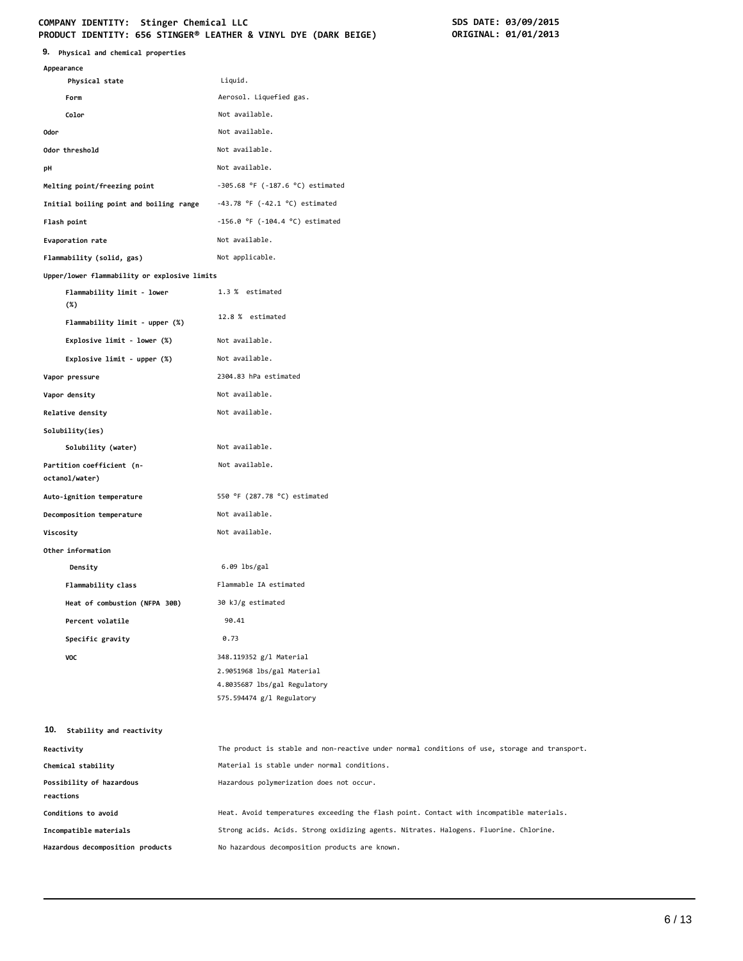# COMPANY IDENTITY: Stinger Chemical LLC<br>
PRODUCT IDENTITY: 656 STINGER® LEATHER & VINYL DYE (DARK BEIGE) **SOME ORIGINAL: 01/01/2013 PRODUCT IDENTITY: 656 STINGER® LEATHER & VINYL DYE (DARK BEIGE)**

| Appearance                                   |                                                                                                                    |
|----------------------------------------------|--------------------------------------------------------------------------------------------------------------------|
| Physical state                               | Liquid.                                                                                                            |
| Form                                         | Aerosol. Liquefied gas.                                                                                            |
| Color                                        | Not available.                                                                                                     |
| 0dor                                         | Not available.                                                                                                     |
| Odor threshold                               | Not available.                                                                                                     |
| рH                                           | Not available.                                                                                                     |
| Melting point/freezing point                 | $-305.68$ °F ( $-187.6$ °C) estimated                                                                              |
| Initial boiling point and boiling range      | $-43.78$ °F ( $-42.1$ °C) estimated                                                                                |
| Flash point                                  | $-156.0$ °F ( $-104.4$ °C) estimated                                                                               |
| Evaporation rate                             | Not available.                                                                                                     |
| Flammability (solid, gas)                    | Not applicable.                                                                                                    |
| Upper/lower flammability or explosive limits |                                                                                                                    |
| Flammability limit - lower<br>$(\%)$         | 1.3 % estimated                                                                                                    |
| Flammability limit - upper (%)               | 12.8 % estimated                                                                                                   |
| Explosive limit - lower (%)                  | Not available.                                                                                                     |
| Explosive limit - upper (%)                  | Not available.                                                                                                     |
| Vapor pressure                               | 2304.83 hPa estimated                                                                                              |
| Vapor density                                | Not available.                                                                                                     |
| Relative density                             | Not available.                                                                                                     |
| Solubility(ies)                              |                                                                                                                    |
| Solubility (water)                           | Not available.                                                                                                     |
| Partition coefficient (n-<br>octanol/water)  | Not available.                                                                                                     |
| Auto-ignition temperature                    | 550 °F (287.78 °C) estimated                                                                                       |
| Decomposition temperature                    | Not available.                                                                                                     |
| Viscosity                                    | Not available.                                                                                                     |
| Other information                            |                                                                                                                    |
| Density                                      | $6.09$ lbs/gal                                                                                                     |
| Flammability class                           | Flammable IA estimated                                                                                             |
| Heat of combustion (NFPA 30B)                | 30 kJ/g estimated                                                                                                  |
| Percent volatile                             | 90.41                                                                                                              |
| Specific gravity                             | 0.73                                                                                                               |
| VOC                                          | 348.119352 g/l Material<br>2.9051968 lbs/gal Material<br>4.8035687 lbs/gal Regulatory<br>575.594474 g/l Regulatory |
| 10. Stability and reactivity                 |                                                                                                                    |
| Reactivity                                   | The product is stable and non-reactive under normal conditions of use, storage and transport.                      |
| Chemical stability                           | Material is stable under normal conditions.                                                                        |
| Possibility of hazardous<br>reactions        | Hazardous polymerization does not occur.                                                                           |
| Conditions to avoid                          | Heat. Avoid temperatures exceeding the flash point. Contact with incompatible materials.                           |
| Incompatible materials                       | Strong acids. Acids. Strong oxidizing agents. Nitrates. Halogens. Fluorine. Chlorine.                              |

**Hazardous decomposition products** No hazardous decomposition products are known.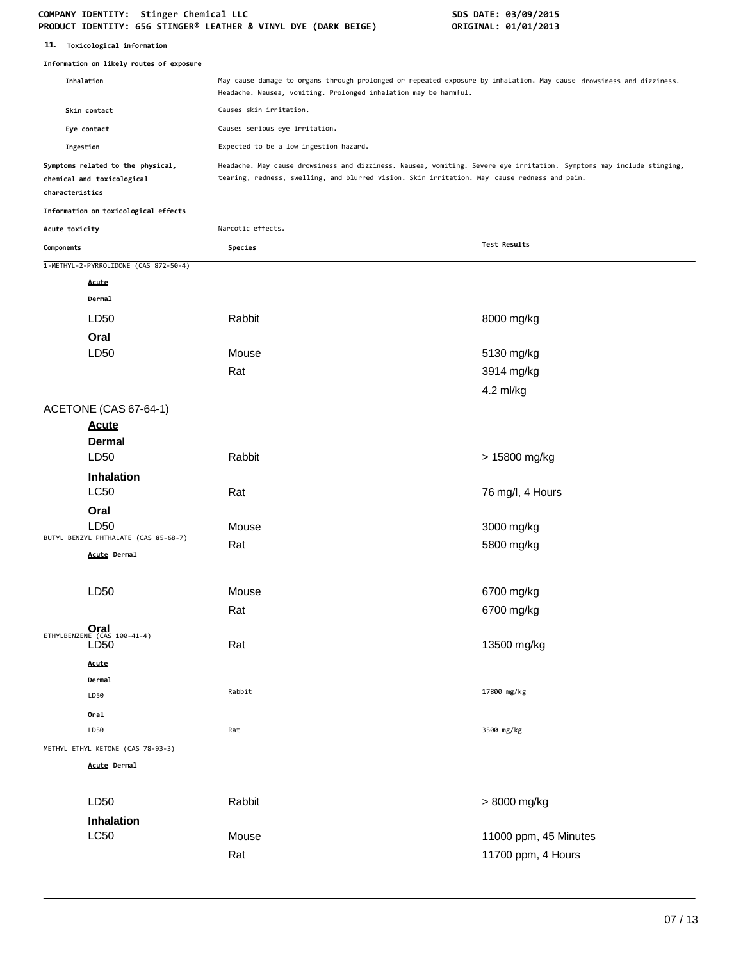| 11.<br>Toxicological information |  |
|----------------------------------|--|
|----------------------------------|--|

**Information on likely routes of exposure**

|                 | Information on likely routes of exposure                        |                                                                                                                                                                                                                       |                       |
|-----------------|-----------------------------------------------------------------|-----------------------------------------------------------------------------------------------------------------------------------------------------------------------------------------------------------------------|-----------------------|
|                 | Inhalation                                                      | May cause damage to organs through prolonged or repeated exposure by inhalation. May cause drowsiness and dizziness.<br>Headache. Nausea, vomiting. Prolonged inhalation may be harmful.                              |                       |
|                 | Skin contact                                                    | Causes skin irritation.                                                                                                                                                                                               |                       |
|                 | Eye contact                                                     | Causes serious eye irritation.                                                                                                                                                                                        |                       |
| Ingestion       |                                                                 | Expected to be a low ingestion hazard.                                                                                                                                                                                |                       |
| characteristics | Symptoms related to the physical,<br>chemical and toxicological | Headache. May cause drowsiness and dizziness. Nausea, vomiting. Severe eye irritation. Symptoms may include stinging,<br>tearing, redness, swelling, and blurred vision. Skin irritation. May cause redness and pain. |                       |
|                 | Information on toxicological effects                            |                                                                                                                                                                                                                       |                       |
| Acute toxicity  |                                                                 | Narcotic effects.                                                                                                                                                                                                     |                       |
| Components      |                                                                 | Species                                                                                                                                                                                                               | Test Results          |
|                 | 1-METHYL-2-PYRROLIDONE (CAS 872-50-4)                           |                                                                                                                                                                                                                       |                       |
|                 | Acute                                                           |                                                                                                                                                                                                                       |                       |
|                 | Dermal                                                          |                                                                                                                                                                                                                       |                       |
|                 | LD50                                                            | Rabbit                                                                                                                                                                                                                | 8000 mg/kg            |
|                 | Oral                                                            |                                                                                                                                                                                                                       |                       |
|                 | LD <sub>50</sub>                                                | Mouse                                                                                                                                                                                                                 | 5130 mg/kg            |
|                 |                                                                 | Rat                                                                                                                                                                                                                   | 3914 mg/kg            |
|                 |                                                                 |                                                                                                                                                                                                                       | 4.2 ml/kg             |
|                 | ACETONE (CAS 67-64-1)                                           |                                                                                                                                                                                                                       |                       |
|                 | <b>Acute</b>                                                    |                                                                                                                                                                                                                       |                       |
|                 | Dermal                                                          |                                                                                                                                                                                                                       |                       |
|                 | LD <sub>50</sub>                                                | Rabbit                                                                                                                                                                                                                | > 15800 mg/kg         |
|                 | Inhalation                                                      |                                                                                                                                                                                                                       |                       |
|                 | <b>LC50</b>                                                     | Rat                                                                                                                                                                                                                   | 76 mg/l, 4 Hours      |
|                 | Oral                                                            |                                                                                                                                                                                                                       |                       |
|                 | LD50<br>BUTYL BENZYL PHTHALATE (CAS 85-68-7)                    | Mouse                                                                                                                                                                                                                 | 3000 mg/kg            |
|                 | Acute Dermal                                                    | Rat                                                                                                                                                                                                                   | 5800 mg/kg            |
|                 |                                                                 |                                                                                                                                                                                                                       |                       |
|                 | LD50                                                            | Mouse                                                                                                                                                                                                                 | 6700 mg/kg            |
|                 |                                                                 |                                                                                                                                                                                                                       |                       |
|                 |                                                                 | Rat                                                                                                                                                                                                                   | 6700 mg/kg            |
|                 | ETHYLBENZENE $(CAS 100-41-4)$<br>LD <sub>50</sub>               | Rat                                                                                                                                                                                                                   | 13500 mg/kg           |
|                 | Acute                                                           |                                                                                                                                                                                                                       |                       |
|                 | Dermal                                                          |                                                                                                                                                                                                                       |                       |
|                 | LD50                                                            | Rabbit                                                                                                                                                                                                                | 17800 mg/kg           |
|                 | Oral                                                            |                                                                                                                                                                                                                       |                       |
|                 | LD50                                                            | Rat                                                                                                                                                                                                                   | 3500 mg/kg            |
|                 | METHYL ETHYL KETONE (CAS 78-93-3)                               |                                                                                                                                                                                                                       |                       |
|                 | <b>Acute Dermal</b>                                             |                                                                                                                                                                                                                       |                       |
|                 |                                                                 |                                                                                                                                                                                                                       |                       |
|                 | LD50                                                            | Rabbit                                                                                                                                                                                                                | > 8000 mg/kg          |
|                 | Inhalation                                                      |                                                                                                                                                                                                                       |                       |
|                 | <b>LC50</b>                                                     | Mouse                                                                                                                                                                                                                 | 11000 ppm, 45 Minutes |
|                 |                                                                 | Rat                                                                                                                                                                                                                   | 11700 ppm, 4 Hours    |
|                 |                                                                 |                                                                                                                                                                                                                       |                       |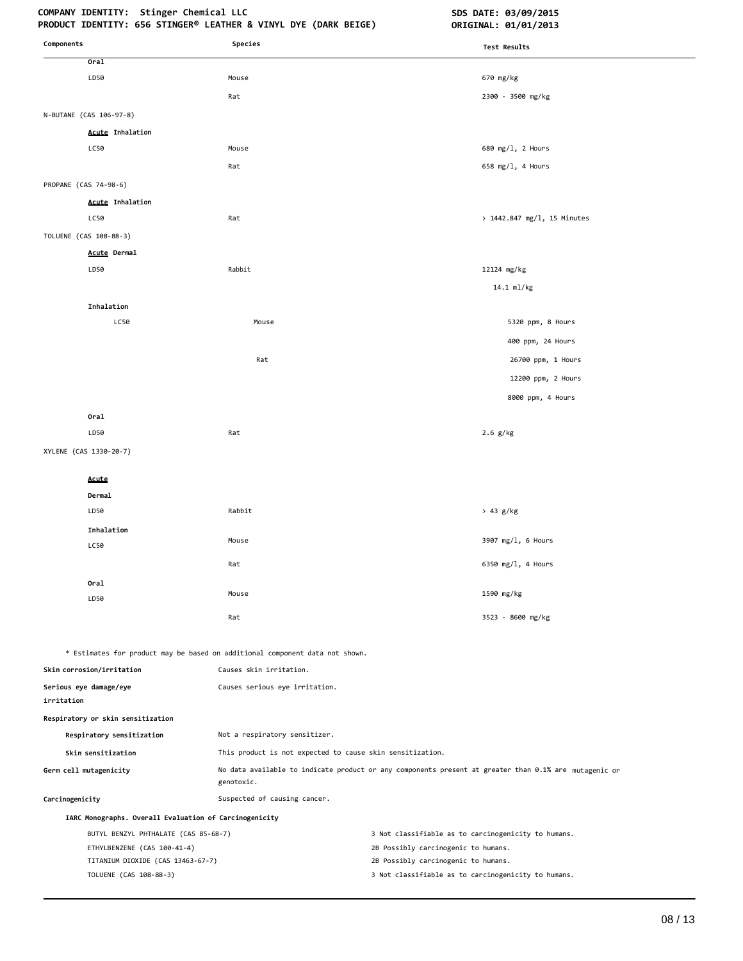# COMPANY IDENTITY: Stinger Chemical LLC **SDS DATE: 03/09/2015**

| Components                                             | Species                                                                      | <b>Test Results</b>                                                                                   |
|--------------------------------------------------------|------------------------------------------------------------------------------|-------------------------------------------------------------------------------------------------------|
| Oral                                                   |                                                                              |                                                                                                       |
| LD50                                                   | Mouse                                                                        | 670 mg/kg                                                                                             |
|                                                        | Rat                                                                          | 2300 - 3500 mg/kg                                                                                     |
| N-BUTANE (CAS 106-97-8)                                |                                                                              |                                                                                                       |
| <b>Acute Inhalation</b>                                |                                                                              |                                                                                                       |
| LC50                                                   | Mouse                                                                        | 680 mg/l, 2 Hours                                                                                     |
|                                                        | Rat                                                                          | 658 mg/l, 4 Hours                                                                                     |
| PROPANE (CAS 74-98-6)                                  |                                                                              |                                                                                                       |
| <b>Acute Inhalation</b>                                |                                                                              |                                                                                                       |
| LC50                                                   | Rat                                                                          | > 1442.847 mg/l, 15 Minutes                                                                           |
| TOLUENE (CAS 108-88-3)                                 |                                                                              |                                                                                                       |
| Acute Dermal                                           |                                                                              |                                                                                                       |
| LD50                                                   | Rabbit                                                                       | 12124 mg/kg                                                                                           |
|                                                        |                                                                              | 14.1 ml/kg                                                                                            |
| Inhalation                                             |                                                                              |                                                                                                       |
| LC50                                                   | Mouse                                                                        | 5320 ppm, 8 Hours                                                                                     |
|                                                        |                                                                              | 400 ppm, 24 Hours                                                                                     |
|                                                        | Rat                                                                          | 26700 ppm, 1 Hours                                                                                    |
|                                                        |                                                                              | 12200 ppm, 2 Hours                                                                                    |
|                                                        |                                                                              | 8000 ppm, 4 Hours                                                                                     |
| Oral                                                   |                                                                              |                                                                                                       |
| LD50                                                   | Rat                                                                          | $2.6$ g/kg                                                                                            |
| XYLENE (CAS 1330-20-7)                                 |                                                                              |                                                                                                       |
|                                                        |                                                                              |                                                                                                       |
| Acute                                                  |                                                                              |                                                                                                       |
| Dermal<br>LD50                                         | Rabbit                                                                       | > 43 g/kg                                                                                             |
| Inhalation                                             |                                                                              |                                                                                                       |
| LC50                                                   | Mouse                                                                        | 3907 mg/l, 6 Hours                                                                                    |
|                                                        | Rat                                                                          | 6350 mg/l, 4 Hours                                                                                    |
| Oral                                                   |                                                                              |                                                                                                       |
| LD50                                                   | Mouse                                                                        | 1590 mg/kg                                                                                            |
|                                                        | Rat                                                                          | 3523 - 8600 mg/kg                                                                                     |
|                                                        |                                                                              |                                                                                                       |
|                                                        | * Estimates for product may be based on additional component data not shown. |                                                                                                       |
| Skin corrosion/irritation                              | Causes skin irritation.                                                      |                                                                                                       |
| Serious eye damage/eye<br>irritation                   | Causes serious eye irritation.                                               |                                                                                                       |
| Respiratory or skin sensitization                      |                                                                              |                                                                                                       |
| Respiratory sensitization                              | Not a respiratory sensitizer.                                                |                                                                                                       |
| Skin sensitization                                     | This product is not expected to cause skin sensitization.                    |                                                                                                       |
| Germ cell mutagenicity                                 | genotoxic.                                                                   | No data available to indicate product or any components present at greater than 0.1% are mutagenic or |
| Carcinogenicity                                        | Suspected of causing cancer.                                                 |                                                                                                       |
| IARC Monographs. Overall Evaluation of Carcinogenicity |                                                                              |                                                                                                       |
| BUTYL BENZYL PHTHALATE (CAS 85-68-7)                   |                                                                              | 3 Not classifiable as to carcinogenicity to humans.                                                   |
| ETHYLBENZENE (CAS 100-41-4)                            |                                                                              | 2B Possibly carcinogenic to humans.                                                                   |
| TITANIUM DIOXIDE (CAS 13463-67-7)                      |                                                                              | 2B Possibly carcinogenic to humans.                                                                   |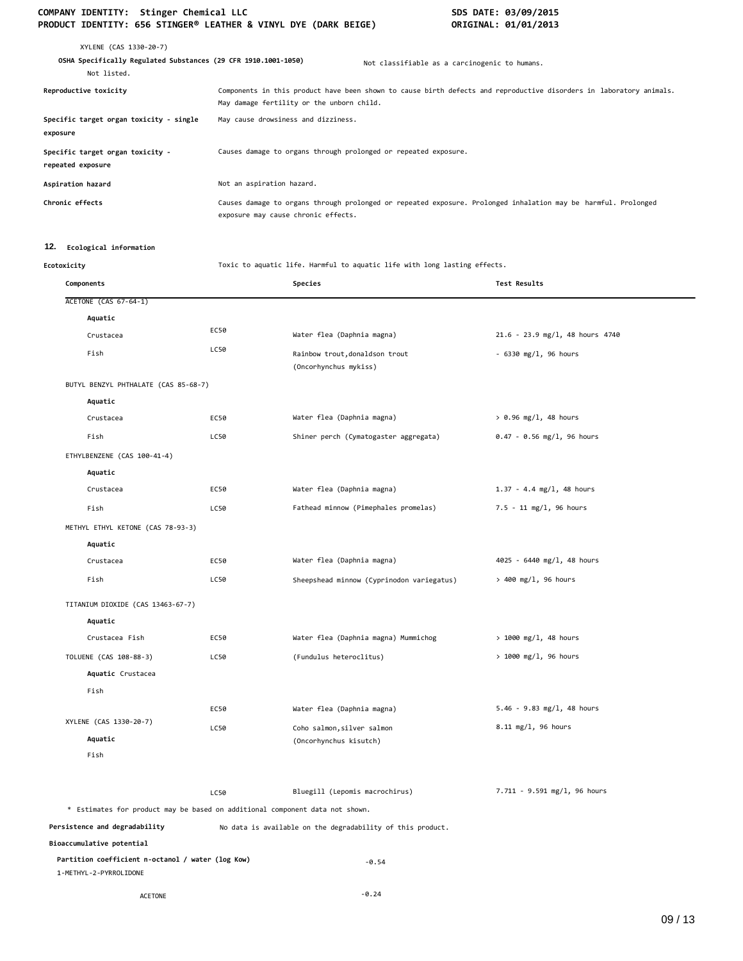| XYLENE (CAS 1330-20-7)<br>OSHA Specifically Regulated Substances (29 CFR 1910.1001-1050)<br>Not listed. |                                                                 | Not classifiable as a carcinogenic to humans.                                                                       |
|---------------------------------------------------------------------------------------------------------|-----------------------------------------------------------------|---------------------------------------------------------------------------------------------------------------------|
| Reproductive toxicity                                                                                   | May damage fertility or the unborn child.                       | Components in this product have been shown to cause birth defects and reproductive disorders in laboratory animals. |
| Specific target organ toxicity - single<br>exposure                                                     | May cause drowsiness and dizziness.                             |                                                                                                                     |
| Specific target organ toxicity -<br>repeated exposure                                                   | Causes damage to organs through prolonged or repeated exposure. |                                                                                                                     |
| Aspiration hazard                                                                                       | Not an aspiration hazard.                                       |                                                                                                                     |
| Chronic effects                                                                                         | exposure may cause chronic effects.                             | Causes damage to organs through prolonged or repeated exposure. Prolonged inhalation may be harmful. Prolonged      |

# **12. Ecological information**

**Ecotoxicity** Toxic to aquatic life. Harmful to aquatic life with long lasting effects.

| Components                                                                   |      | Species                                                    | Test Results                      |
|------------------------------------------------------------------------------|------|------------------------------------------------------------|-----------------------------------|
| <b>ACETONE (CAS 67-64-1)</b>                                                 |      |                                                            |                                   |
| Aquatic                                                                      |      |                                                            |                                   |
| Crustacea                                                                    | EC50 | Water flea (Daphnia magna)                                 | $21.6 - 23.9$ mg/l, 48 hours 4740 |
| Fish                                                                         | LC50 | Rainbow trout, donaldson trout<br>(Oncorhynchus mykiss)    | $-6330$ mg/l, 96 hours            |
| BUTYL BENZYL PHTHALATE (CAS 85-68-7)                                         |      |                                                            |                                   |
| Aquatic                                                                      |      |                                                            |                                   |
| Crustacea                                                                    | EC50 | Water flea (Daphnia magna)                                 | $> 0.96$ mg/l, 48 hours           |
| Fish                                                                         | LC50 | Shiner perch (Cymatogaster aggregata)                      | $0.47 - 0.56$ mg/l, 96 hours      |
| ETHYLBENZENE (CAS 100-41-4)                                                  |      |                                                            |                                   |
| Aquatic                                                                      |      |                                                            |                                   |
| Crustacea                                                                    | EC50 | Water flea (Daphnia magna)                                 | $1.37 - 4.4$ mg/l, 48 hours       |
| Fish                                                                         | LC50 | Fathead minnow (Pimephales promelas)                       | $7.5 - 11$ mg/l, 96 hours         |
| METHYL ETHYL KETONE (CAS 78-93-3)                                            |      |                                                            |                                   |
| Aquatic                                                                      |      |                                                            |                                   |
| Crustacea                                                                    | EC50 | Water flea (Daphnia magna)                                 | 4025 - 6440 mg/l, 48 hours        |
| Fish                                                                         | LC50 | Sheepshead minnow (Cyprinodon variegatus)                  | > 400 mg/l, 96 hours              |
| TITANIUM DIOXIDE (CAS 13463-67-7)                                            |      |                                                            |                                   |
| Aquatic                                                                      |      |                                                            |                                   |
| Crustacea Fish                                                               | EC50 | Water flea (Daphnia magna) Mummichog                       | $> 1000$ mg/l, 48 hours           |
| TOLUENE (CAS 108-88-3)                                                       | LC50 | (Fundulus heteroclitus)                                    | $> 1000$ mg/l, 96 hours           |
| Aquatic Crustacea                                                            |      |                                                            |                                   |
| Fish                                                                         |      |                                                            |                                   |
|                                                                              | EC50 | Water flea (Daphnia magna)                                 | $5.46 - 9.83$ mg/l, 48 hours      |
| XYLENE (CAS 1330-20-7)                                                       | LC50 | Coho salmon, silver salmon                                 | 8.11 mg/l, 96 hours               |
| Aquatic                                                                      |      | (Oncorhynchus kisutch)                                     |                                   |
| Fish                                                                         |      |                                                            |                                   |
|                                                                              | LC50 | Bluegill (Lepomis macrochirus)                             | 7.711 - 9.591 mg/l, 96 hours      |
| * Estimates for product may be based on additional component data not shown. |      |                                                            |                                   |
| Persistence and degradability                                                |      | No data is available on the degradability of this product. |                                   |
| Bioaccumulative potential                                                    |      |                                                            |                                   |
| Partition coefficient n-octanol / water (log Kow)<br>1-METHYL-2-PYRROLIDONE  |      | $-0.54$                                                    |                                   |
| <b>ACETONE</b>                                                               |      | $-0.24$                                                    |                                   |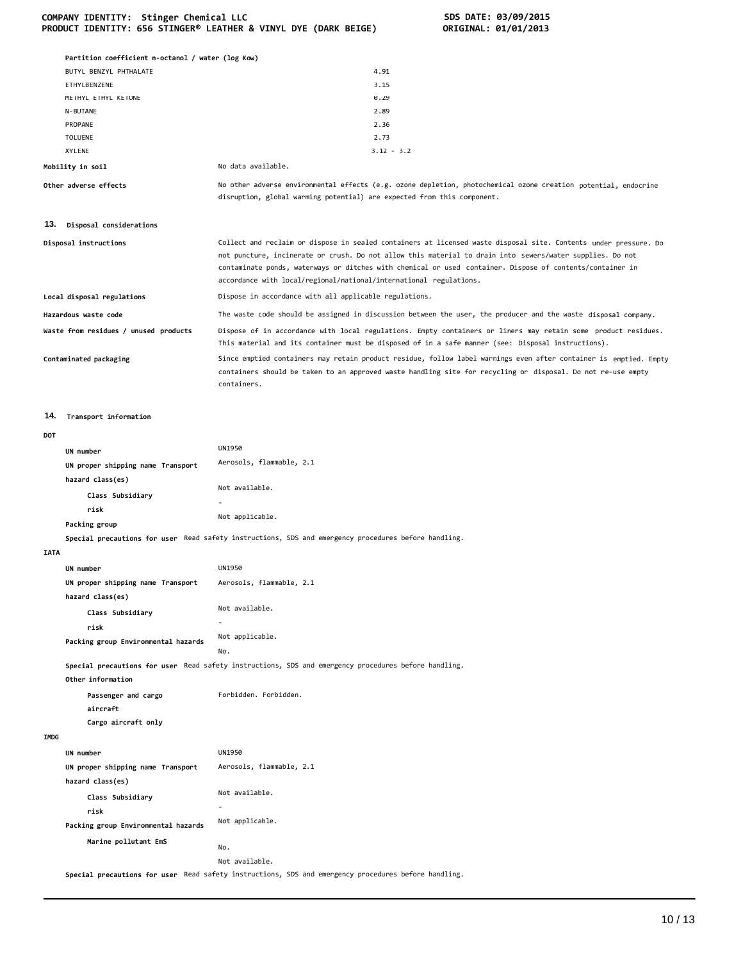|             | Partition coefficient n-octanol / water (log Kow) |                                                                                                                                                                                                                                                                                                                                                                                                                  |
|-------------|---------------------------------------------------|------------------------------------------------------------------------------------------------------------------------------------------------------------------------------------------------------------------------------------------------------------------------------------------------------------------------------------------------------------------------------------------------------------------|
|             | BUTYL BENZYL PHTHALATE                            | 4.91                                                                                                                                                                                                                                                                                                                                                                                                             |
|             | ETHYLBENZENE                                      | 3.15                                                                                                                                                                                                                                                                                                                                                                                                             |
|             | METHYL ETHYL KETONE                               | 0.29                                                                                                                                                                                                                                                                                                                                                                                                             |
|             | N-BUTANE                                          | 2.89                                                                                                                                                                                                                                                                                                                                                                                                             |
|             | PROPANE                                           | 2.36                                                                                                                                                                                                                                                                                                                                                                                                             |
|             | <b>TOLUENE</b>                                    | 2.73                                                                                                                                                                                                                                                                                                                                                                                                             |
|             | XYLENE                                            | $3.12 - 3.2$<br>No data available.                                                                                                                                                                                                                                                                                                                                                                               |
|             | Mobility in soil                                  |                                                                                                                                                                                                                                                                                                                                                                                                                  |
|             | Other adverse effects                             | No other adverse environmental effects (e.g. ozone depletion, photochemical ozone creation potential, endocrine<br>disruption, global warming potential) are expected from this component.                                                                                                                                                                                                                       |
| 13.         | Disposal considerations                           |                                                                                                                                                                                                                                                                                                                                                                                                                  |
|             | Disposal instructions                             | Collect and reclaim or dispose in sealed containers at licensed waste disposal site. Contents under pressure. Do<br>not puncture, incinerate or crush. Do not allow this material to drain into sewers/water supplies. Do not<br>contaminate ponds, waterways or ditches with chemical or used container. Dispose of contents/container in<br>accordance with local/regional/national/international regulations. |
|             | Local disposal regulations                        | Dispose in accordance with all applicable regulations.                                                                                                                                                                                                                                                                                                                                                           |
|             | Hazardous waste code                              | The waste code should be assigned in discussion between the user, the producer and the waste disposal company.                                                                                                                                                                                                                                                                                                   |
|             | Waste from residues / unused products             | Dispose of in accordance with local regulations. Empty containers or liners may retain some product residues.<br>This material and its container must be disposed of in a safe manner (see: Disposal instructions).                                                                                                                                                                                              |
|             | Contaminated packaging                            | Since emptied containers may retain product residue, follow label warnings even after container is emptied. Empty<br>containers should be taken to an approved waste handling site for recycling or disposal. Do not re-use empty<br>containers.                                                                                                                                                                 |
| 14.         | Transport information                             |                                                                                                                                                                                                                                                                                                                                                                                                                  |
| DOT         |                                                   |                                                                                                                                                                                                                                                                                                                                                                                                                  |
|             | UN number                                         | UN1950                                                                                                                                                                                                                                                                                                                                                                                                           |
|             | UN proper shipping name Transport                 | Aerosols, flammable, 2.1                                                                                                                                                                                                                                                                                                                                                                                         |
|             | hazard class(es)                                  |                                                                                                                                                                                                                                                                                                                                                                                                                  |
|             |                                                   | Not available.                                                                                                                                                                                                                                                                                                                                                                                                   |
|             | Class Subsidiary                                  |                                                                                                                                                                                                                                                                                                                                                                                                                  |
|             | risk                                              | Not applicable.                                                                                                                                                                                                                                                                                                                                                                                                  |
|             | Packing group                                     |                                                                                                                                                                                                                                                                                                                                                                                                                  |
|             |                                                   | Special precautions for user Read safety instructions, SDS and emergency procedures before handling.                                                                                                                                                                                                                                                                                                             |
| <b>IATA</b> |                                                   |                                                                                                                                                                                                                                                                                                                                                                                                                  |
|             | UN number                                         | <b>UN1950</b>                                                                                                                                                                                                                                                                                                                                                                                                    |
|             | UN proper shipping name Transport                 | Aerosols, flammable, 2.1                                                                                                                                                                                                                                                                                                                                                                                         |
|             | hazard class(es)                                  |                                                                                                                                                                                                                                                                                                                                                                                                                  |
|             | Class Subsidiary                                  | Not available.                                                                                                                                                                                                                                                                                                                                                                                                   |
|             | risk                                              | $\sim$                                                                                                                                                                                                                                                                                                                                                                                                           |
|             | Packing group Environmental hazards               | Not applicable.<br>No.                                                                                                                                                                                                                                                                                                                                                                                           |
|             | Other information                                 | Special precautions for user Read safety instructions, SDS and emergency procedures before handling.                                                                                                                                                                                                                                                                                                             |
|             | Passenger and cargo<br>aircraft                   | Forbidden. Forbidden.                                                                                                                                                                                                                                                                                                                                                                                            |
|             | Cargo aircraft only                               |                                                                                                                                                                                                                                                                                                                                                                                                                  |
| IMDG        |                                                   |                                                                                                                                                                                                                                                                                                                                                                                                                  |
|             | UN number                                         | UN1950                                                                                                                                                                                                                                                                                                                                                                                                           |
|             | UN proper shipping name Transport                 | Aerosols, flammable, 2.1                                                                                                                                                                                                                                                                                                                                                                                         |
|             | hazard class(es)                                  |                                                                                                                                                                                                                                                                                                                                                                                                                  |
|             |                                                   | Not available.                                                                                                                                                                                                                                                                                                                                                                                                   |
|             | Class Subsidiary                                  | ÷.                                                                                                                                                                                                                                                                                                                                                                                                               |
|             | risk                                              | Not applicable.                                                                                                                                                                                                                                                                                                                                                                                                  |
|             | Packing group Environmental hazards               |                                                                                                                                                                                                                                                                                                                                                                                                                  |
|             | Marine pollutant EmS                              | No.                                                                                                                                                                                                                                                                                                                                                                                                              |

Not available. **Special precautions for user** Read safety instructions, SDS and emergency procedures before handling.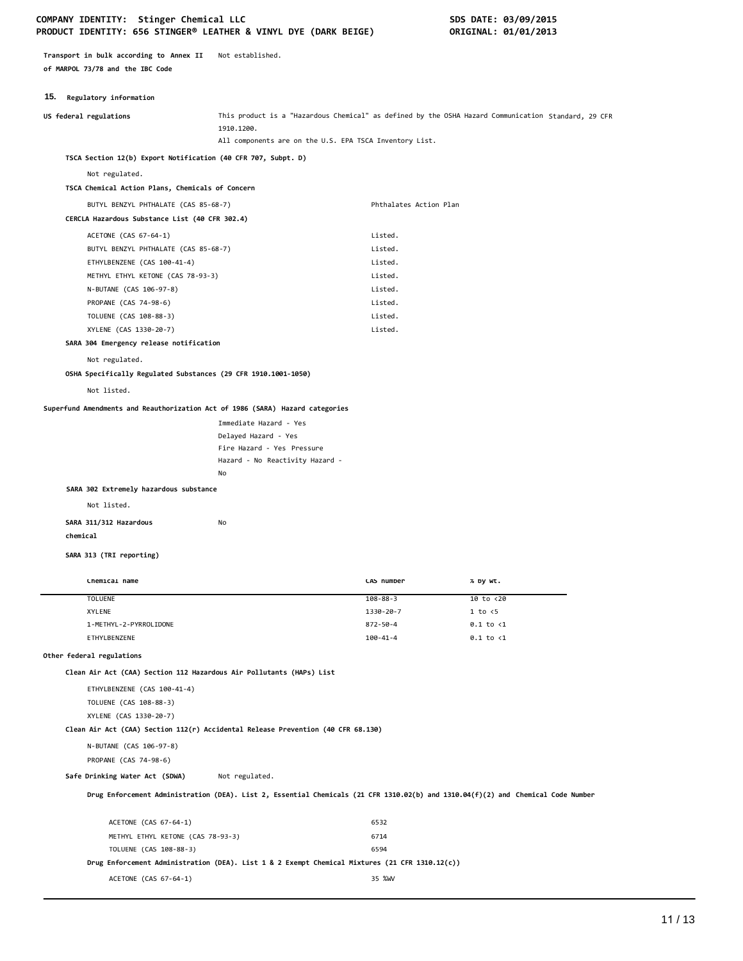**Transport in bulk according to Annex II** Not established. **of MARPOL 73/78 and the IBC Code**

# **15. Regulatory information**

| in. Kegulatory Information                                                       |                                                                                                                                  |                        |                                                                                                     |
|----------------------------------------------------------------------------------|----------------------------------------------------------------------------------------------------------------------------------|------------------------|-----------------------------------------------------------------------------------------------------|
| US federal regulations                                                           | 1910.1200.                                                                                                                       |                        | This product is a "Hazardous Chemical" as defined by the OSHA Hazard Communication Standard, 29 CFR |
|                                                                                  | All components are on the U.S. EPA TSCA Inventory List.                                                                          |                        |                                                                                                     |
| TSCA Section 12(b) Export Notification (40 CFR 707, Subpt. D)                    |                                                                                                                                  |                        |                                                                                                     |
| Not regulated.                                                                   |                                                                                                                                  |                        |                                                                                                     |
| TSCA Chemical Action Plans, Chemicals of Concern                                 |                                                                                                                                  |                        |                                                                                                     |
| BUTYL BENZYL PHTHALATE (CAS 85-68-7)                                             |                                                                                                                                  | Phthalates Action Plan |                                                                                                     |
| CERCLA Hazardous Substance List (40 CFR 302.4)                                   |                                                                                                                                  |                        |                                                                                                     |
| ACETONE (CAS 67-64-1)                                                            |                                                                                                                                  | Listed.                |                                                                                                     |
| BUTYL BENZYL PHTHALATE (CAS 85-68-7)                                             |                                                                                                                                  | Listed.                |                                                                                                     |
| ETHYLBENZENE (CAS 100-41-4)                                                      |                                                                                                                                  | Listed.                |                                                                                                     |
| METHYL ETHYL KETONE (CAS 78-93-3)                                                |                                                                                                                                  | Listed.                |                                                                                                     |
| N-BUTANE (CAS 106-97-8)                                                          |                                                                                                                                  | Listed.                |                                                                                                     |
| PROPANE (CAS 74-98-6)                                                            |                                                                                                                                  | Listed.                |                                                                                                     |
| TOLUENE (CAS 108-88-3)                                                           |                                                                                                                                  | Listed.                |                                                                                                     |
| XYLENE (CAS 1330-20-7)                                                           |                                                                                                                                  | Listed.                |                                                                                                     |
| SARA 304 Emergency release notification                                          |                                                                                                                                  |                        |                                                                                                     |
| Not regulated.                                                                   |                                                                                                                                  |                        |                                                                                                     |
| OSHA Specifically Regulated Substances (29 CFR 1910.1001-1050)                   |                                                                                                                                  |                        |                                                                                                     |
| Not listed.                                                                      |                                                                                                                                  |                        |                                                                                                     |
| Superfund Amendments and Reauthorization Act of 1986 (SARA) Hazard categories    |                                                                                                                                  |                        |                                                                                                     |
|                                                                                  |                                                                                                                                  |                        |                                                                                                     |
|                                                                                  | Immediate Hazard - Yes<br>Delayed Hazard - Yes                                                                                   |                        |                                                                                                     |
|                                                                                  | Fire Hazard - Yes Pressure                                                                                                       |                        |                                                                                                     |
|                                                                                  | Hazard - No Reactivity Hazard -                                                                                                  |                        |                                                                                                     |
|                                                                                  | No                                                                                                                               |                        |                                                                                                     |
| SARA 302 Extremely hazardous substance                                           |                                                                                                                                  |                        |                                                                                                     |
| Not listed.                                                                      |                                                                                                                                  |                        |                                                                                                     |
|                                                                                  | No                                                                                                                               |                        |                                                                                                     |
| SARA 311/312 Hazardous<br>chemical                                               |                                                                                                                                  |                        |                                                                                                     |
|                                                                                  |                                                                                                                                  |                        |                                                                                                     |
| SARA 313 (TRI reporting)                                                         |                                                                                                                                  |                        |                                                                                                     |
|                                                                                  |                                                                                                                                  |                        |                                                                                                     |
| Chemical name                                                                    |                                                                                                                                  | CAS number             | % by wt.                                                                                            |
| <b>TOLUENE</b>                                                                   |                                                                                                                                  | $108 - 88 - 3$         | 10 to <20                                                                                           |
| <b>XYLENE</b>                                                                    |                                                                                                                                  | 1330-20-7              | $1$ to $\leq$                                                                                       |
| 1-METHYL-2-PYRROLIDONE                                                           |                                                                                                                                  | $872 - 50 - 4$         | $0.1$ to $\langle 1$                                                                                |
| ETHYLBENZENE                                                                     |                                                                                                                                  | $100 - 41 - 4$         | $0.1$ to $\langle 1$                                                                                |
| Other federal regulations                                                        |                                                                                                                                  |                        |                                                                                                     |
| Clean Air Act (CAA) Section 112 Hazardous Air Pollutants (HAPs) List             |                                                                                                                                  |                        |                                                                                                     |
| ETHYLBENZENE (CAS 100-41-4)                                                      |                                                                                                                                  |                        |                                                                                                     |
| TOLUENE (CAS 108-88-3)                                                           |                                                                                                                                  |                        |                                                                                                     |
| XYLENE (CAS 1330-20-7)                                                           |                                                                                                                                  |                        |                                                                                                     |
| Clean Air Act (CAA) Section 112(r) Accidental Release Prevention (40 CFR 68.130) |                                                                                                                                  |                        |                                                                                                     |
| N-BUTANE (CAS 106-97-8)                                                          |                                                                                                                                  |                        |                                                                                                     |
| PROPANE (CAS 74-98-6)                                                            |                                                                                                                                  |                        |                                                                                                     |
| Safe Drinking Water Act (SDWA)                                                   | Not regulated.                                                                                                                   |                        |                                                                                                     |
|                                                                                  |                                                                                                                                  |                        |                                                                                                     |
|                                                                                  | Drug Enforcement Administration (DEA). List 2, Essential Chemicals (21 CFR 1310.02(b) and 1310.04(f)(2) and Chemical Code Number |                        |                                                                                                     |

| ACETONE (CAS 67-64-1)                                                                          | 6532   |
|------------------------------------------------------------------------------------------------|--------|
| METHYL ETHYL KETONE (CAS 78-93-3)                                                              | 6714   |
| TOLUENE (CAS 108-88-3)                                                                         | 6594   |
| Drug Enforcement Administration (DEA). List 1 & 2 Exempt Chemical Mixtures (21 CFR 1310.12(c)) |        |
| ACETONE (CAS 67-64-1)                                                                          | 35 %WV |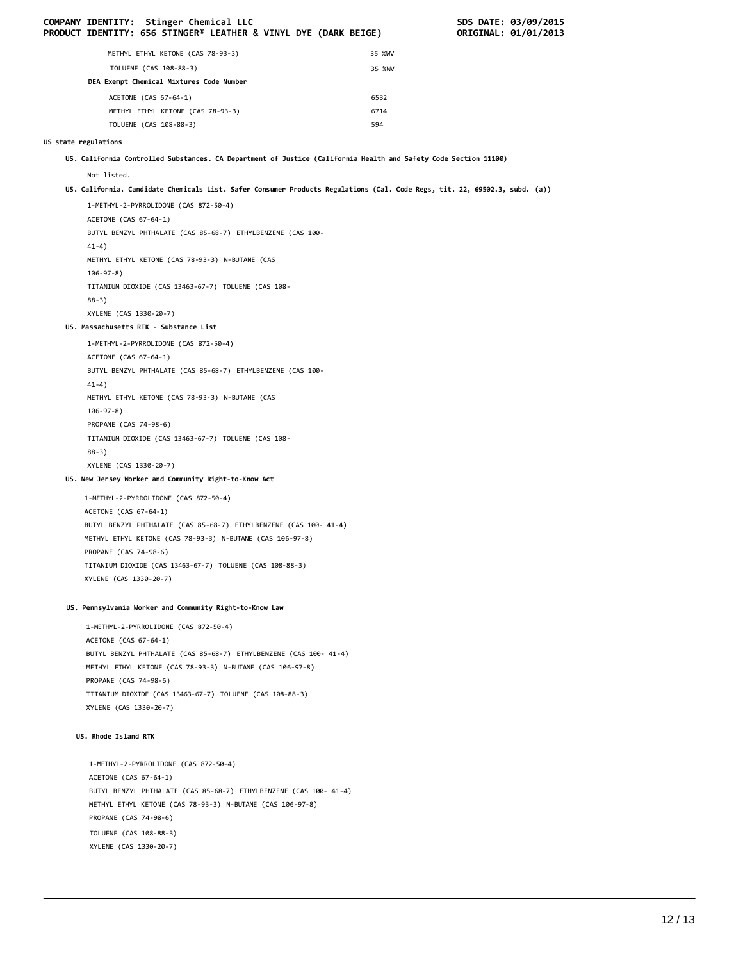|                      | COMPANY IDENTITY: Stinger Chemical LLC<br>PRODUCT IDENTITY: 656 STINGER® LEATHER & VINYL DYE (DARK BEIGE)                   |        | SDS DATE: 03/09/2015<br>ORIGINAL: 01/01/2013 |
|----------------------|-----------------------------------------------------------------------------------------------------------------------------|--------|----------------------------------------------|
|                      | METHYL ETHYL KETONE (CAS 78-93-3)                                                                                           | 35 %WV |                                              |
|                      | TOLUENE (CAS 108-88-3)                                                                                                      | 35 %WV |                                              |
|                      | DEA Exempt Chemical Mixtures Code Number                                                                                    |        |                                              |
|                      | ACETONE (CAS 67-64-1)                                                                                                       | 6532   |                                              |
|                      | METHYL ETHYL KETONE (CAS 78-93-3)                                                                                           | 6714   |                                              |
|                      | TOLUENE (CAS 108-88-3)                                                                                                      | 594    |                                              |
| US state regulations |                                                                                                                             |        |                                              |
|                      | US. California Controlled Substances. CA Department of Justice (California Health and Safety Code Section 11100)            |        |                                              |
|                      | Not listed.                                                                                                                 |        |                                              |
|                      | US. California. Candidate Chemicals List. Safer Consumer Products Regulations (Cal. Code Regs, tit. 22, 69502.3, subd. (a)) |        |                                              |
|                      | 1-METHYL-2-PYRROLIDONE (CAS 872-50-4)                                                                                       |        |                                              |
|                      | ACETONE (CAS 67-64-1)                                                                                                       |        |                                              |
|                      | BUTYL BENZYL PHTHALATE (CAS 85-68-7) ETHYLBENZENE (CAS 100-                                                                 |        |                                              |
|                      | $41-4)$                                                                                                                     |        |                                              |
|                      | METHYL ETHYL KETONE (CAS 78-93-3) N-BUTANE (CAS<br>$106 - 97 - 8$ )                                                         |        |                                              |
|                      | TITANIUM DIOXIDE (CAS 13463-67-7) TOLUENE (CAS 108-                                                                         |        |                                              |
|                      | $88-3)$                                                                                                                     |        |                                              |
|                      | XYLENE (CAS 1330-20-7)<br>US. Massachusetts RTK - Substance List                                                            |        |                                              |
|                      |                                                                                                                             |        |                                              |
|                      | 1-METHYL-2-PYRROLIDONE (CAS 872-50-4)<br>ACETONE (CAS 67-64-1)                                                              |        |                                              |
|                      | BUTYL BENZYL PHTHALATE (CAS 85-68-7) ETHYLBENZENE (CAS 100-                                                                 |        |                                              |
|                      | $41-4)$                                                                                                                     |        |                                              |
|                      | METHYL ETHYL KETONE (CAS 78-93-3) N-BUTANE (CAS                                                                             |        |                                              |
|                      | $106 - 97 - 8$ )                                                                                                            |        |                                              |
|                      | PROPANE (CAS 74-98-6)                                                                                                       |        |                                              |
|                      | TITANIUM DIOXIDE (CAS 13463-67-7) TOLUENE (CAS 108-                                                                         |        |                                              |
|                      | $88-3)$<br>XYLENE (CAS 1330-20-7)                                                                                           |        |                                              |
|                      | US. New Jersey Worker and Community Right-to-Know Act                                                                       |        |                                              |
|                      |                                                                                                                             |        |                                              |
|                      | 1-METHYL-2-PYRROLIDONE (CAS 872-50-4)<br>ACETONE (CAS 67-64-1)                                                              |        |                                              |
|                      | BUTYL BENZYL PHTHALATE (CAS 85-68-7) ETHYLBENZENE (CAS 100- 41-4)                                                           |        |                                              |
|                      | METHYL ETHYL KETONE (CAS 78-93-3) N-BUTANE (CAS 106-97-8)                                                                   |        |                                              |
|                      | PROPANE (CAS 74-98-6)                                                                                                       |        |                                              |
|                      | TITANIUM DIOXIDE (CAS 13463-67-7) TOLUENE (CAS 108-88-3)                                                                    |        |                                              |
|                      | XYLENE (CAS 1330-20-7)                                                                                                      |        |                                              |
|                      | US. Pennsylvania Worker and Community Right-to-Know Law                                                                     |        |                                              |
|                      | 1-METHYL-2-PYRROLIDONE (CAS 872-50-4)                                                                                       |        |                                              |
|                      | ACETONE (CAS 67-64-1)                                                                                                       |        |                                              |
|                      | BUTYL BENZYL PHTHALATE (CAS 85-68-7) ETHYLBENZENE (CAS 100- 41-4)                                                           |        |                                              |
|                      | METHYL ETHYL KETONE (CAS 78-93-3) N-BUTANE (CAS 106-97-8)                                                                   |        |                                              |
|                      | PROPANE (CAS 74-98-6)                                                                                                       |        |                                              |
|                      | TITANIUM DIOXIDE (CAS 13463-67-7) TOLUENE (CAS 108-88-3)                                                                    |        |                                              |
|                      | XYLENE (CAS 1330-20-7)                                                                                                      |        |                                              |
|                      | US. Rhode Island RTK                                                                                                        |        |                                              |
|                      | 1-METHYL-2-PYRROLIDONE (CAS 872-50-4)                                                                                       |        |                                              |
|                      | ACETONE (CAS 67-64-1)                                                                                                       |        |                                              |
|                      | BUTYL BENZYL PHTHALATE (CAS 85-68-7) ETHYLBENZENE (CAS 100- 41-4)                                                           |        |                                              |
|                      | METHYL ETHYL KETONE (CAS 78-93-3) N-BUTANE (CAS 106-97-8)                                                                   |        |                                              |
|                      | PROPANE (CAS 74-98-6)                                                                                                       |        |                                              |
|                      | TOLUENE (CAS 108-88-3)                                                                                                      |        |                                              |
|                      | XYLENE (CAS 1330-20-7)                                                                                                      |        |                                              |